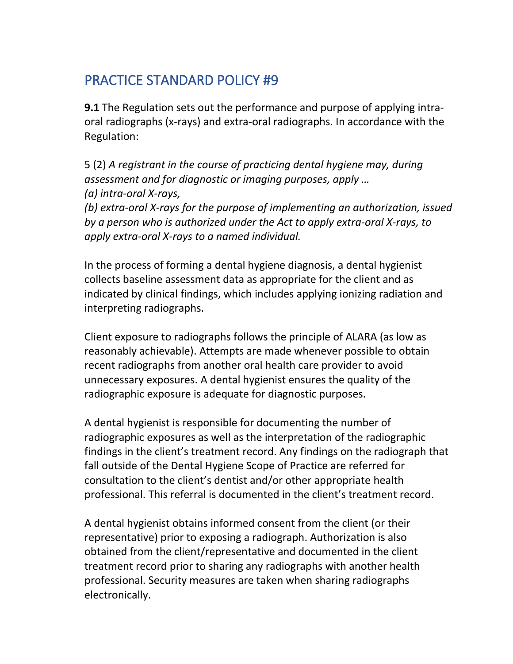## PRACTICE STANDARD POLICY #9

**9.1** The Regulation sets out the performance and purpose of applying intraoral radiographs (x-rays) and extra-oral radiographs. In accordance with the Regulation:

5 (2) *A registrant in the course of practicing dental hygiene may, during assessment and for diagnostic or imaging purposes, apply … (a) intra-oral X-rays,* 

*(b) extra-oral X-rays for the purpose of implementing an authorization, issued by a person who is authorized under the Act to apply extra-oral X-rays, to apply extra-oral X-rays to a named individual.*

In the process of forming a dental hygiene diagnosis, a dental hygienist collects baseline assessment data as appropriate for the client and as indicated by clinical findings, which includes applying ionizing radiation and interpreting radiographs.

Client exposure to radiographs follows the principle of ALARA (as low as reasonably achievable). Attempts are made whenever possible to obtain recent radiographs from another oral health care provider to avoid unnecessary exposures. A dental hygienist ensures the quality of the radiographic exposure is adequate for diagnostic purposes.

A dental hygienist is responsible for documenting the number of radiographic exposures as well as the interpretation of the radiographic findings in the client's treatment record. Any findings on the radiograph that fall outside of the Dental Hygiene Scope of Practice are referred for consultation to the client's dentist and/or other appropriate health professional. This referral is documented in the client's treatment record.

A dental hygienist obtains informed consent from the client (or their representative) prior to exposing a radiograph. Authorization is also obtained from the client/representative and documented in the client treatment record prior to sharing any radiographs with another health professional. Security measures are taken when sharing radiographs electronically.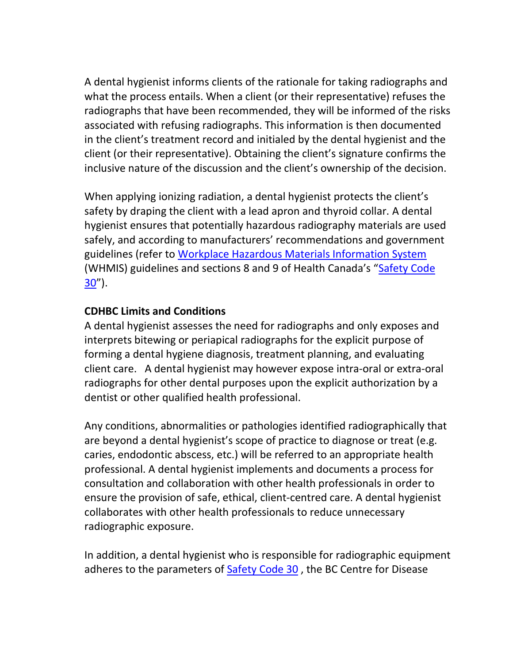A dental hygienist informs clients of the rationale for taking radiographs and what the process entails. When a client (or their representative) refuses the radiographs that have been recommended, they will be informed of the risks associated with refusing radiographs. This information is then documented in the client's treatment record and initialed by the dental hygienist and the client (or their representative). Obtaining the client's signature confirms the inclusive nature of the discussion and the client's ownership of the decision.

When applying ionizing radiation, a dental hygienist protects the client's safety by draping the client with a lead apron and thyroid collar. A dental hygienist ensures that potentially hazardous radiography materials are used safely, and according to manufacturers' recommendations and government guidelines (refer to [Workplace Hazardous Materials Information System](https://www.canada.ca/en/health-canada/services/environmental-workplace-health/occupational-health-safety/workplace-hazardous-materials-information-system.html) (WHMIS) guidelines and sections 8 and 9 of Health Canada's "[Safety Code](https://www.canada.ca/en/health-canada/services/environmental-workplace-health/reports-publications/radiation/radiation-protection-dentistry-recommended-safety-procedures-use-dental-equipment-safety-code-30.html)   $30'$  $30'$ ).

## **CDHBC Limits and Conditions**

A dental hygienist assesses the need for radiographs and only exposes and interprets bitewing or periapical radiographs for the explicit purpose of forming a dental hygiene diagnosis, treatment planning, and evaluating client care. A dental hygienist may however expose intra-oral or extra-oral radiographs for other dental purposes upon the explicit authorization by a dentist or other qualified health professional.

Any conditions, abnormalities or pathologies identified radiographically that are beyond a dental hygienist's scope of practice to diagnose or treat (e.g. caries, endodontic abscess, etc.) will be referred to an appropriate health professional. A dental hygienist implements and documents a process for consultation and collaboration with other health professionals in order to ensure the provision of safe, ethical, client-centred care. A dental hygienist collaborates with other health professionals to reduce unnecessary radiographic exposure.

In addition, a dental hygienist who is responsible for radiographic equipment adheres to the parameters of [Safety Code 30](https://www.canada.ca/en/health-canada/services/environmental-workplace-health/reports-publications/radiation/radiation-protection-dentistry-recommended-safety-procedures-use-dental-equipment-safety-code-30.html), the BC Centre for Disease